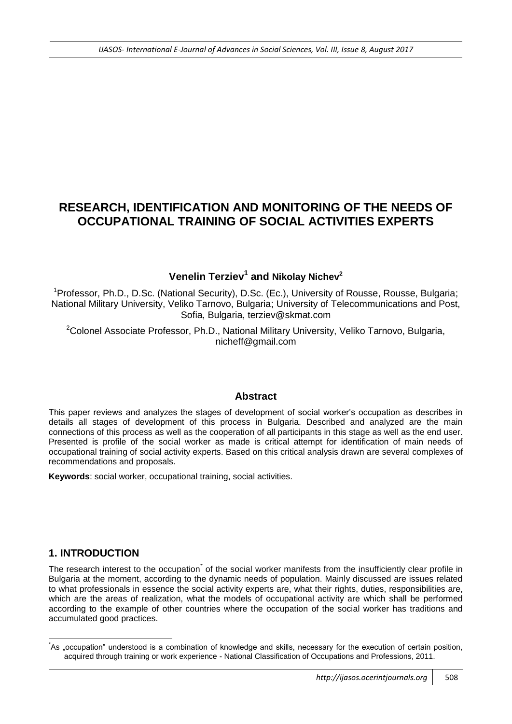# **RESEARCH, IDENTIFICATION AND MONITORING OF THE NEEDS OF OCCUPATIONAL TRAINING OF SOCIAL ACTIVITIES EXPERTS**

# **Venelin Terziev<sup>1</sup> and Nikolay Nichev<sup>2</sup>**

<sup>1</sup> Professor, Ph.D., D.Sc. (National Security), D.Sc. (Ec.), University of Rousse, Rousse, Bulgaria; National Military University, Veliko Tarnovo, Bulgaria; University of Telecommunications and Post, Sofia, Bulgaria, [terziev@skmat.com](mailto:terziev@skmat.com)

<sup>2</sup>Colonel Associate Professor, Ph.D., National Military University, Veliko Tarnovo, Bulgaria, nicheff@gmail.com

#### **Abstract**

This paper reviews and analyzes the stages of development of social worker's occupation as describes in details all stages of development of this process in Bulgaria. Described and analyzed are the main connections of this process as well as the cooperation of all participants in this stage as well as the end user. Presented is profile of the social worker as made is critical attempt for identification of main needs of occupational training of social activity experts. Based on this critical analysis drawn are several complexes of recommendations and proposals.

**Keywords**: social worker, occupational training, social activities.

# **1. INTRODUCTION**

The research interest to the occupation<sup>\*</sup> of the social worker manifests from the insufficiently clear profile in Bulgaria at the moment, according to the dynamic needs of population. Mainly discussed are issues related to what professionals in essence the social activity experts are, what their rights, duties, responsibilities are, which are the areas of realization, what the models of occupational activity are which shall be performed according to the example of other countries where the occupation of the social worker has traditions and accumulated good practices.

<sup>1</sup> <sup>\*</sup>As "occupation" understood is a combination of knowledge and skills, necessary for the execution of certain position, acquired through training or work experience - National Classification of Occupations and Professions, 2011.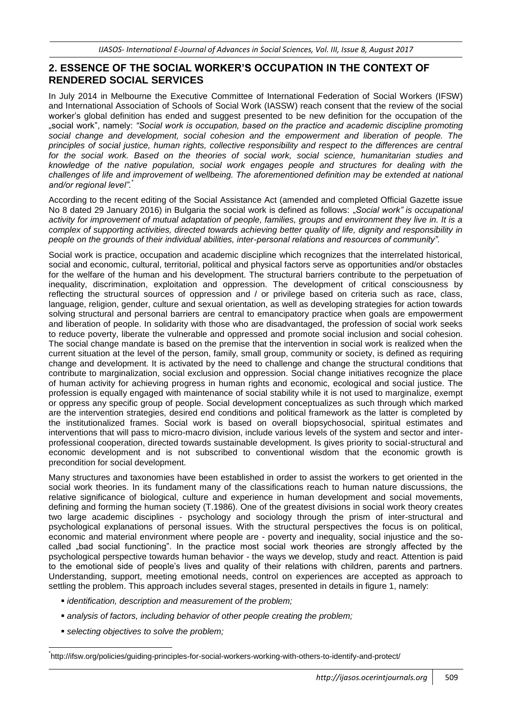# **2. ESSENCE OF THE SOCIAL WORKER'S OCCUPATION IN THE CONTEXT OF RENDERED SOCIAL SERVICES**

In July 2014 in Melbourne the Executive Committee of International Federation of Social Workers (IFSW) and International Association of Schools of Social Work (IASSW) reach consent that the review of the social worker's global definition has ended and suggest presented to be new definition for the occupation of the "social work", namely: *"Social work is occupation, based on the practice and academic discipline promoting social change and development, social cohesion and the empowerment and liberation of people. The principles of social justice, human rights, collective responsibility and respect to the differences are central for the social work. Based on the theories of social work, social science, humanitarian studies and knowledge of the native population, social work engages people and structures for dealing with the challenges of life and improvement of wellbeing. The aforementioned definition may be extended at national and/or regional level".\**

According to the recent editing of the Social Assistance Act (amended and completed Official Gazette issue No 8 dated 29 January 2016) in Bulgaria the social work is defined as follows: "*Social work" is occupational activity for improvement of mutual adaptation of people, families, groups and environment they live in. It is a complex of supporting activities, directed towards achieving better quality of life, dignity and responsibility in people on the grounds of their individual abilities, inter-personal relations and resources of community".* 

Social work is practice, occupation and academic discipline which recognizes that the interrelated historical, social and economic, cultural, territorial, political and physical factors serve as opportunities and/or obstacles for the welfare of the human and his development. The structural barriers contribute to the perpetuation of inequality, discrimination, exploitation and oppression. The development of critical consciousness by reflecting the structural sources of oppression and / or privilege based on criteria such as race, class, language, religion, gender, culture and sexual orientation, as well as developing strategies for action towards solving structural and personal barriers are central to emancipatory practice when goals are empowerment and liberation of people. In solidarity with those who are disadvantaged, the profession of social work seeks to reduce poverty, liberate the vulnerable and oppressed and promote social inclusion and social cohesion. The social change mandate is based on the premise that the intervention in social work is realized when the current situation at the level of the person, family, small group, community or society, is defined as requiring change and development. It is activated by the need to challenge and change the structural conditions that contribute to marginalization, social exclusion and oppression. Social change initiatives recognize the place of human activity for achieving progress in human rights and economic, ecological and social justice. The profession is equally engaged with maintenance of social stability while it is not used to marginalize, exempt or oppress any specific group of people. Social development conceptualizes as such through which marked are the intervention strategies, desired end conditions and political framework as the latter is completed by the institutionalized frames. Social work is based on overall biopsychosocial, spiritual estimates and interventions that will pass to micro-macro division, include various levels of the system and sector and interprofessional cooperation, directed towards sustainable development. Is gives priority to social-structural and economic development and is not subscribed to conventional wisdom that the economic growth is precondition for social development.

Many structures and taxonomies have been established in order to assist the workers to get oriented in the social work theories. In its fundament many of the classifications reach to human nature discussions, the relative significance of biological, culture and experience in human development and social movements, defining and forming the human society (T.1986). One of the greatest divisions in social work theory creates two large academic disciplines - psychology and sociology through the prism of inter-structural and psychological explanations of personal issues. With the structural perspectives the focus is on political, economic and material environment where people are - poverty and inequality, social injustice and the socalled "bad social functioning". In the practice most social work theories are strongly affected by the psychological perspective towards human behavior - the ways we develop, study and react. Attention is paid to the emotional side of people's lives and quality of their relations with children, parents and partners. Understanding, support, meeting emotional needs, control on experiences are accepted as approach to settling the problem. This approach includes several stages, presented in details in figure 1, namely:

- *identification, description and measurement of the problem;*
- *analysis of factors, including behavior of other people creating the problem;*
- *selecting objectives to solve the problem;*

-

<sup>\*</sup> http://ifsw.org/policies/guiding-principles-for-social-workers-working-with-others-to-identify-and-protect/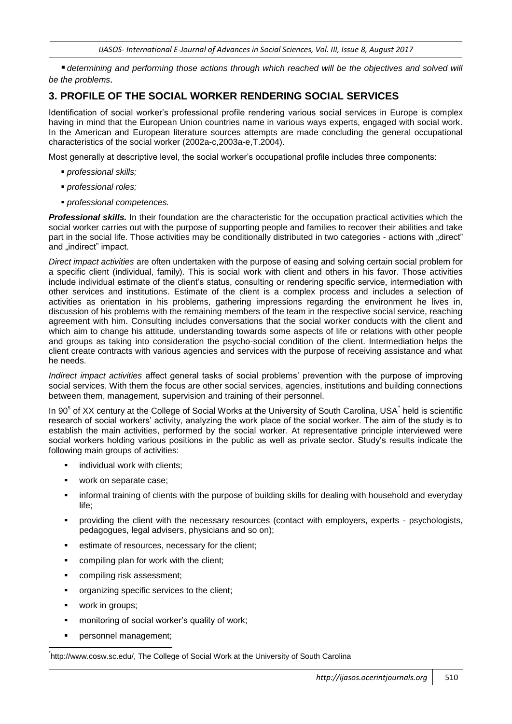*determining and performing those actions through which reached will be the objectives and solved will be the problems.* 

# **3. PROFILE OF THE SOCIAL WORKER RENDERING SOCIAL SERVICES**

Identification of social worker's professional profile rendering various social services in Europe is complex having in mind that the European Union countries name in various ways experts, engaged with social work. In the American and European literature sources attempts are made concluding the general occupational characteristics of the social worker (2002a-c,2003a-e,T.2004).

Most generally at descriptive level, the social worker's occupational profile includes three components:

- *professional skills;*
- *professional roles;*
- *professional competences.*

*Professional skills.* In their foundation are the characteristic for the occupation practical activities which the social worker carries out with the purpose of supporting people and families to recover their abilities and take part in the social life. Those activities may be conditionally distributed in two categories - actions with "direct" and "indirect" impact.

*Direct impact activities* are often undertaken with the purpose of easing and solving certain social problem for a specific client (individual, family). This is social work with client and others in his favor. Those activities include individual estimate of the client's status, consulting or rendering specific service, intermediation with other services and institutions. Estimate of the client is a complex process and includes a selection of activities as orientation in his problems, gathering impressions regarding the environment he lives in, discussion of his problems with the remaining members of the team in the respective social service, reaching agreement with him. Consulting includes conversations that the social worker conducts with the client and which aim to change his attitude, understanding towards some aspects of life or relations with other people and groups as taking into consideration the psycho-social condition of the client. Intermediation helps the client create contracts with various agencies and services with the purpose of receiving assistance and what he needs.

*Indirect impact activities* affect general tasks of social problems' prevention with the purpose of improving social services. With them the focus are other social services, agencies, institutions and building connections between them, management, supervision and training of their personnel.

In 90<sup>s</sup> of XX century at the College of Social Works at the University of South Carolina, USA<sup>\*</sup> held is scientific research of social workers' activity, analyzing the work place of the social worker. The aim of the study is to establish the main activities, performed by the social worker. At representative principle interviewed were social workers holding various positions in the public as well as private sector. Study's results indicate the following main groups of activities:

- **i** individual work with clients;
- **work on separate case;**
- informal training of clients with the purpose of building skills for dealing with household and everyday life;
- providing the client with the necessary resources (contact with employers, experts psychologists, pedagogues, legal advisers, physicians and so on);
- **EXEC** estimate of resources, necessary for the client;
- compiling plan for work with the client;
- **•** compiling risk assessment;
- **•** organizing specific services to the client;
- **•** work in groups;

-

- monitoring of social worker's quality of work;
- **•** personnel management;

\* [http://www.cosw.sc.edu/,](http://www.cosw.sc.edu/) The College of Social Work at the University of South Carolina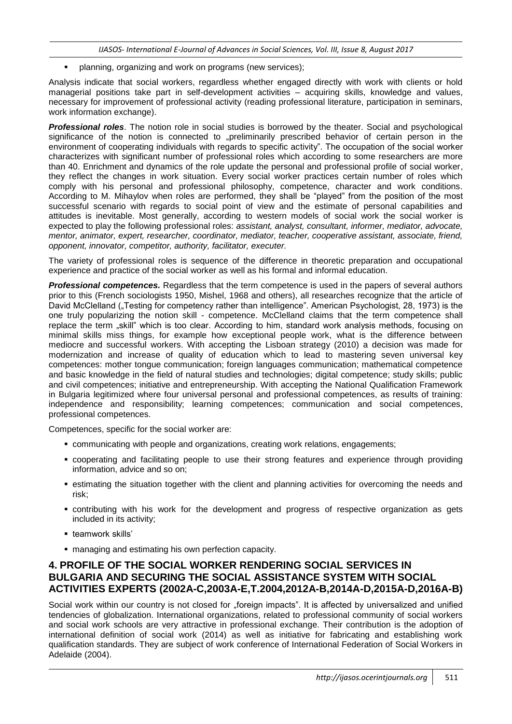planning, organizing and work on programs (new services);

Analysis indicate that social workers, regardless whether engaged directly with work with clients or hold managerial positions take part in self-development activities – acquiring skills, knowledge and values, necessary for improvement of professional activity (reading professional literature, participation in seminars, work information exchange).

*Professional roles*. The notion role in social studies is borrowed by the theater. Social and psychological significance of the notion is connected to "preliminarily prescribed behavior of certain person in the environment of cooperating individuals with regards to specific activity". The occupation of the social worker characterizes with significant number of professional roles which according to some researchers are more than 40. Enrichment and dynamics of the role update the personal and professional profile of social worker, they reflect the changes in work situation. Every social worker practices certain number of roles which comply with his personal and professional philosophy, competence, character and work conditions. According to M. Mihaylov when roles are performed, they shall be "played" from the position of the most successful scenario with regards to social point of view and the estimate of personal capabilities and attitudes is inevitable. Most generally, according to western models of social work the social worker is expected to play the following professional roles: *assistant, analyst, consultant, informer, mediator, advocate, mentor, animator, expert, researcher, coordinator, mediator, teacher, cooperative assistant, associate, friend, opponent, innovator, competitor, authority, facilitator, executer.* 

The variety of professional roles is sequence of the difference in theoretic preparation and occupational experience and practice of the social worker as well as his formal and informal education.

*Professional competences.* Regardless that the term competence is used in the papers of several authors prior to this (French sociologists 1950, Mishel, 1968 and others), all researches recognize that the article of David McClelland ("Testing for competency rather than intelligence". American Psychologist, 28, 1973) is the one truly popularizing the notion skill - competence. McClelland claims that the term competence shall replace the term "skill" which is too clear. According to him, standard work analysis methods, focusing on minimal skills miss things, for example how exceptional people work, what is the difference between mediocre and successful workers. With accepting the Lisboan strategy (2010) a decision was made for modernization and increase of quality of education which to lead to mastering seven universal key competences: mother tongue communication; foreign languages communication; mathematical competence and basic knowledge in the field of natural studies and technologies; digital competence; study skills; public and civil competences; initiative and entrepreneurship. With accepting the National Qualification Framework in Bulgaria legitimized where four universal personal and professional competences, as results of training: independence and responsibility; learning competences; communication and social competences, professional competences.

Competences, specific for the social worker are:

- communicating with people and organizations, creating work relations, engagements;
- cooperating and facilitating people to use their strong features and experience through providing information, advice and so on;
- **Example 1** estimating the situation together with the client and planning activities for overcoming the needs and risk;
- contributing with his work for the development and progress of respective organization as gets included in its activity;
- **teamwork skills'**
- managing and estimating his own perfection capacity.

## **4. PROFILE OF THE SOCIAL WORKER RENDERING SOCIAL SERVICES IN BULGARIA AND SECURING THE SOCIAL ASSISTANCE SYSTEM WITH SOCIAL ACTIVITIES EXPERTS (2002A-C,2003A-E,T.2004,2012A-B,2014A-D,2015A-D,2016A-B)**

Social work within our country is not closed for "foreign impacts". It is affected by universalized and unified tendencies of globalization. International organizations, related to professional community of social workers and social work schools are very attractive in professional exchange. Their contribution is the adoption of international definition of social work (2014) as well as initiative for fabricating and establishing work qualification standards. They are subject of work conference of International Federation of Social Workers in Adelaide (2004).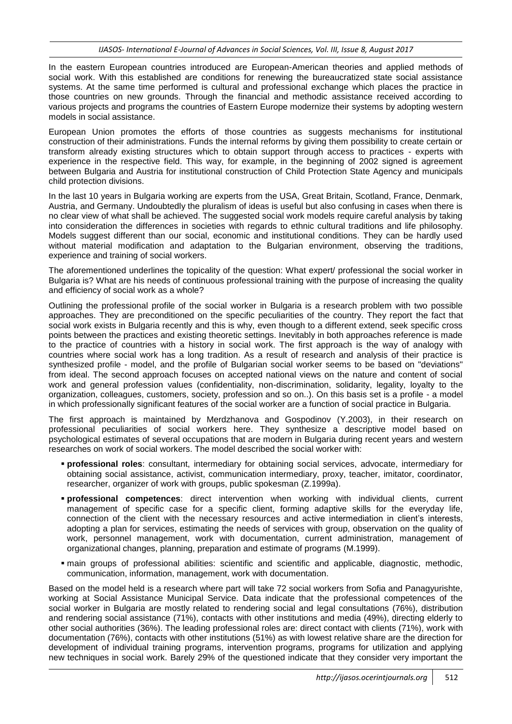In the eastern European countries introduced are European-American theories and applied methods of social work. With this established are conditions for renewing the bureaucratized state social assistance systems. At the same time performed is cultural and professional exchange which places the practice in those countries on new grounds. Through the financial and methodic assistance received according to various projects and programs the countries of Eastern Europe modernize their systems by adopting western models in social assistance.

European Union promotes the efforts of those countries as suggests mechanisms for institutional construction of their administrations. Funds the internal reforms by giving them possibility to create certain or transform already existing structures which to obtain support through access to practices - experts with experience in the respective field. This way, for example, in the beginning of 2002 signed is agreement between Bulgaria and Austria for institutional construction of Child Protection State Agency and municipals child protection divisions.

In the last 10 years in Bulgaria working are experts from the USA, Great Britain, Scotland, France, Denmark, Austria, and Germany. Undoubtedly the pluralism of ideas is useful but also confusing in cases when there is no clear view of what shall be achieved. The suggested social work models require careful analysis by taking into consideration the differences in societies with regards to ethnic cultural traditions and life philosophy. Models suggest different than our social, economic and institutional conditions. They can be hardly used without material modification and adaptation to the Bulgarian environment, observing the traditions, experience and training of social workers.

The aforementioned underlines the topicality of the question: What expert/ professional the social worker in Bulgaria is? What are his needs of continuous professional training with the purpose of increasing the quality and efficiency of social work as a whole?

Outlining the professional profile of the social worker in Bulgaria is a research problem with two possible approaches. They are preconditioned on the specific peculiarities of the country. They report the fact that social work exists in Bulgaria recently and this is why, even though to a different extend, seek specific cross points between the practices and existing theoretic settings. Inevitably in both approaches reference is made to the practice of countries with a history in social work. The first approach is the way of analogy with countries where social work has a long tradition. As a result of research and analysis of their practice is synthesized profile - model, and the profile of Bulgarian social worker seems to be based on "deviations" from ideal. The second approach focuses on accepted national views on the nature and content of social work and general profession values (confidentiality, non-discrimination, solidarity, legality, loyalty to the organization, colleagues, customers, society, profession and so on..). On this basis set is a profile - a model in which professionally significant features of the social worker are a function of social practice in Bulgaria.

The first approach is maintained by Merdzhanova and Gospodinov (Y.2003), in their research on professional peculiarities of social workers here. They synthesize a descriptive model based on psychological estimates of several occupations that are modern in Bulgaria during recent years and western researches on work of social workers. The model described the social worker with:

- **professional roles**: consultant, intermediary for obtaining social services, advocate, intermediary for obtaining social assistance, activist, communication intermediary, proxy, teacher, imitator, coordinator, researcher, organizer of work with groups, public spokesman (Z.1999a).
- **professional competences**: direct intervention when working with individual clients, current management of specific case for a specific client, forming adaptive skills for the everyday life, connection of the client with the necessary resources and active intermediation in client's interests, adopting a plan for services, estimating the needs of services with group, observation on the quality of work, personnel management, work with documentation, current administration, management of organizational changes, planning, preparation and estimate of programs (M.1999).
- main groups of professional abilities: scientific and scientific and applicable, diagnostic, methodic, communication, information, management, work with documentation.

Based on the model held is a research where part will take 72 social workers from Sofia and Panagyurishte, working at Social Assistance Municipal Service. Data indicate that the professional competences of the social worker in Bulgaria are mostly related to rendering social and legal consultations (76%), distribution and rendering social assistance (71%), contacts with other institutions and media (49%), directing elderly to other social authorities (36%). The leading professional roles are: direct contact with clients (71%), work with documentation (76%), contacts with other institutions (51%) as with lowest relative share are the direction for development of individual training programs, intervention programs, programs for utilization and applying new techniques in social work. Barely 29% of the questioned indicate that they consider very important the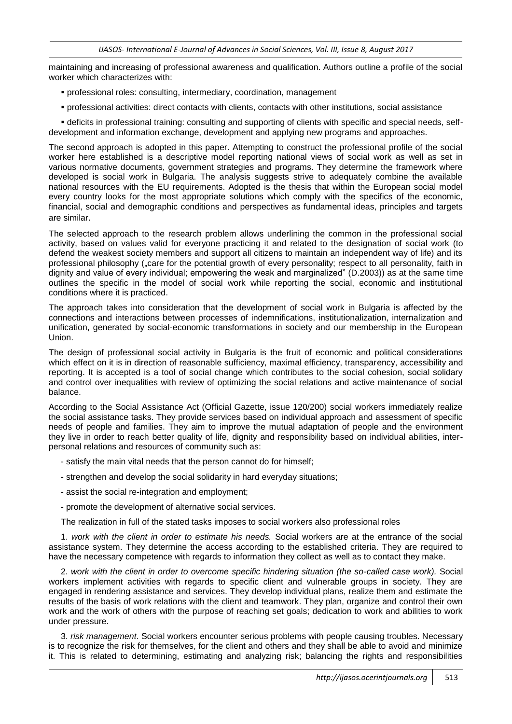maintaining and increasing of professional awareness and qualification. Authors outline a profile of the social worker which characterizes with:

- professional roles: consulting, intermediary, coordination, management
- professional activities: direct contacts with clients, contacts with other institutions, social assistance

 deficits in professional training: consulting and supporting of clients with specific and special needs, selfdevelopment and information exchange, development and applying new programs and approaches.

The second approach is adopted in this paper. Attempting to construct the professional profile of the social worker here established is a descriptive model reporting national views of social work as well as set in various normative documents, government strategies and programs. They determine the framework where developed is social work in Bulgaria. The analysis suggests strive to adequately combine the available national resources with the EU requirements. Adopted is the thesis that within the European social model every country looks for the most appropriate solutions which comply with the specifics of the economic, financial, social and demographic conditions and perspectives as fundamental ideas, principles and targets are similar.

The selected approach to the research problem allows underlining the common in the professional social activity, based on values valid for everyone practicing it and related to the designation of social work (to defend the weakest society members and support all citizens to maintain an independent way of life) and its professional philosophy ("care for the potential growth of every personality; respect to all personality, faith in dignity and value of every individual; empowering the weak and marginalized" (D.2003)) as at the same time outlines the specific in the model of social work while reporting the social, economic and institutional conditions where it is practiced.

The approach takes into consideration that the development of social work in Bulgaria is affected by the connections and interactions between processes of indemnifications, institutionalization, internalization and unification, generated by social-economic transformations in society and our membership in the European Union.

The design of professional social activity in Bulgaria is the fruit of economic and political considerations which effect on it is in direction of reasonable sufficiency, maximal efficiency, transparency, accessibility and reporting. It is accepted is a tool of social change which contributes to the social cohesion, social solidary and control over inequalities with review of optimizing the social relations and active maintenance of social balance.

According to the Social Assistance Act (Official Gazette, issue 120/200) social workers immediately realize the social assistance tasks. They provide services based on individual approach and assessment of specific needs of people and families. They aim to improve the mutual adaptation of people and the environment they live in order to reach better quality of life, dignity and responsibility based on individual abilities, interpersonal relations and resources of community such as:

- satisfy the main vital needs that the person cannot do for himself;
- strengthen and develop the social solidarity in hard everyday situations;
- assist the social re-integration and employment;
- promote the development of alternative social services.

The realization in full of the stated tasks imposes to social workers also professional roles

1. *work with the client in order to estimate his needs.* Social workers are at the entrance of the social assistance system. They determine the access according to the established criteria. They are required to have the necessary competence with regards to information they collect as well as to contact they make.

2. *work with the client in order to overcome specific hindering situation (the so-called case work).* Social workers implement activities with regards to specific client and vulnerable groups in society. They are engaged in rendering assistance and services. They develop individual plans, realize them and estimate the results of the basis of work relations with the client and teamwork. They plan, organize and control their own work and the work of others with the purpose of reaching set goals; dedication to work and abilities to work under pressure.

3. *risk management*. Social workers encounter serious problems with people causing troubles. Necessary is to recognize the risk for themselves, for the client and others and they shall be able to avoid and minimize it. This is related to determining, estimating and analyzing risk; balancing the rights and responsibilities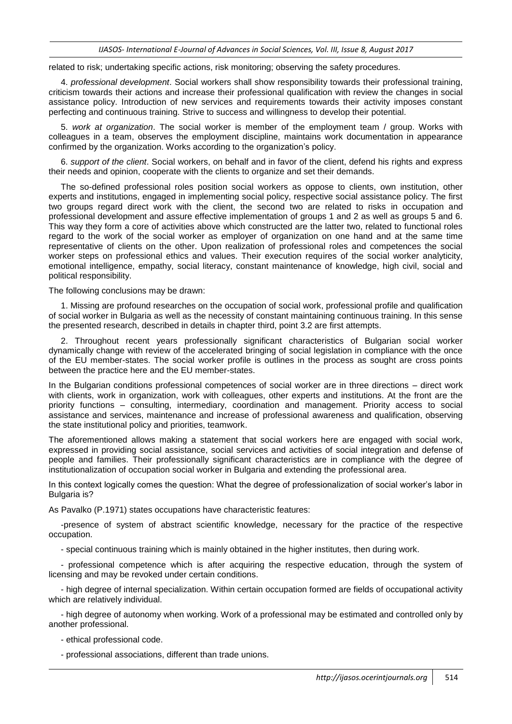related to risk; undertaking specific actions, risk monitoring; observing the safety procedures.

4. *professional development*. Social workers shall show responsibility towards their professional training, criticism towards their actions and increase their professional qualification with review the changes in social assistance policy. Introduction of new services and requirements towards their activity imposes constant perfecting and continuous training. Strive to success and willingness to develop their potential.

5. *work at organization*. The social worker is member of the employment team / group. Works with colleagues in a team, observes the employment discipline, maintains work documentation in appearance confirmed by the organization. Works according to the organization's policy.

6. *support of the client*. Social workers, on behalf and in favor of the client, defend his rights and express their needs and opinion, cooperate with the clients to organize and set their demands.

The so-defined professional roles position social workers as oppose to clients, own institution, other experts and institutions, engaged in implementing social policy, respective social assistance policy. The first two groups regard direct work with the client, the second two are related to risks in occupation and professional development and assure effective implementation of groups 1 and 2 as well as groups 5 and 6. This way they form a core of activities above which constructed are the latter two, related to functional roles regard to the work of the social worker as employer of organization on one hand and at the same time representative of clients on the other. Upon realization of professional roles and competences the social worker steps on professional ethics and values. Their execution requires of the social worker analyticity, emotional intelligence, empathy, social literacy, constant maintenance of knowledge, high civil, social and political responsibility.

The following conclusions may be drawn:

1. Missing are profound researches on the occupation of social work, professional profile and qualification of social worker in Bulgaria as well as the necessity of constant maintaining continuous training. In this sense the presented research, described in details in chapter third, point 3.2 are first attempts.

2. Throughout recent years professionally significant characteristics of Bulgarian social worker dynamically change with review of the accelerated bringing of social legislation in compliance with the once of the EU member-states. The social worker profile is outlines in the process as sought are cross points between the practice here and the EU member-states.

In the Bulgarian conditions professional competences of social worker are in three directions – direct work with clients, work in organization, work with colleagues, other experts and institutions. At the front are the priority functions – consulting, intermediary, coordination and management. Priority access to social assistance and services, maintenance and increase of professional awareness and qualification, observing the state institutional policy and priorities, teamwork.

The aforementioned allows making a statement that social workers here are engaged with social work, expressed in providing social assistance, social services and activities of social integration and defense of people and families. Their professionally significant characteristics are in compliance with the degree of institutionalization of occupation social worker in Bulgaria and extending the professional area.

In this context logically comes the question: What the degree of professionalization of social worker's labor in Bulgaria is?

As Pavalko (P.1971) states occupations have characteristic features:

-presence of system of abstract scientific knowledge, necessary for the practice of the respective occupation.

- special continuous training which is mainly obtained in the higher institutes, then during work.

- professional competence which is after acquiring the respective education, through the system of licensing and may be revoked under certain conditions.

- high degree of internal specialization. Within certain occupation formed are fields of occupational activity which are relatively individual.

- high degree of autonomy when working. Work of a professional may be estimated and controlled only by another professional.

- ethical professional code.

- professional associations, different than trade unions.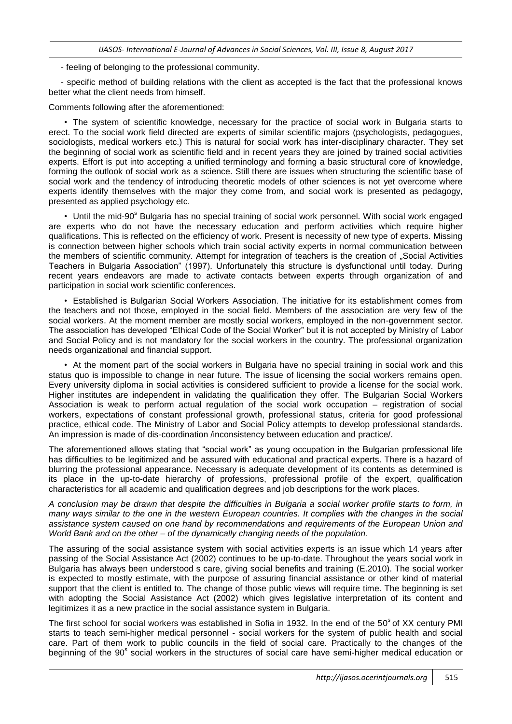- feeling of belonging to the professional community.

- specific method of building relations with the client as accepted is the fact that the professional knows better what the client needs from himself.

Comments following after the aforementioned:

• The system of scientific knowledge, necessary for the practice of social work in Bulgaria starts to erect. To the social work field directed are experts of similar scientific majors (psychologists, pedagogues, sociologists, medical workers etc.) This is natural for social work has inter-disciplinary character. They set the beginning of social work as scientific field and in recent years they are joined by trained social activities experts. Effort is put into accepting a unified terminology and forming a basic structural core of knowledge, forming the outlook of social work as a science. Still there are issues when structuring the scientific base of social work and the tendency of introducing theoretic models of other sciences is not yet overcome where experts identify themselves with the major they come from, and social work is presented as pedagogy, presented as applied psychology etc.

• Until the mid-90<sup>°</sup> Bulgaria has no special training of social work personnel. With social work engaged are experts who do not have the necessary education and perform activities which require higher qualifications. This is reflected on the efficiency of work. Present is necessity of new type of experts. Missing is connection between higher schools which train social activity experts in normal communication between the members of scientific community. Attempt for integration of teachers is the creation of "Social Activities Teachers in Bulgaria Association" (1997). Unfortunately this structure is dysfunctional until today. During recent years endeavors are made to activate contacts between experts through organization of and participation in social work scientific conferences.

• Established is Bulgarian Social Workers Association. The initiative for its establishment comes from the teachers and not those, employed in the social field. Members of the association are very few of the social workers. At the moment member are mostly social workers, employed in the non-government sector. The association has developed "Ethical Code of the Social Worker" but it is not accepted by Ministry of Labor and Social Policy and is not mandatory for the social workers in the country. The professional organization needs organizational and financial support.

• At the moment part of the social workers in Bulgaria have no special training in social work and this status quo is impossible to change in near future. The issue of licensing the social workers remains open. Every university diploma in social activities is considered sufficient to provide a license for the social work. Higher institutes are independent in validating the qualification they offer. The Bulgarian Social Workers Association is weak to perform actual regulation of the social work occupation – registration of social workers, expectations of constant professional growth, professional status, criteria for good professional practice, ethical code. The Ministry of Labor and Social Policy attempts to develop professional standards. An impression is made of dis-coordination /inconsistency between education and practice/.

The aforementioned allows stating that "social work" as young occupation in the Bulgarian professional life has difficulties to be legitimized and be assured with educational and practical experts. There is a hazard of blurring the professional appearance. Necessary is adequate development of its contents as determined is its place in the up-to-date hierarchy of professions, professional profile of the expert, qualification characteristics for all academic and qualification degrees and job descriptions for the work places.

*A conclusion may be drawn that despite the difficulties in Bulgaria a social worker profile starts to form, in many ways similar to the one in the western European countries. It complies with the changes in the social assistance system caused on one hand by recommendations and requirements of the European Union and World Bank and on the other – of the dynamically changing needs of the population.* 

The assuring of the social assistance system with social activities experts is an issue which 14 years after passing of the Social Assistance Act (2002) continues to be up-to-date. Throughout the years social work in Bulgaria has always been understood s care, giving social benefits and training (E.2010). The social worker is expected to mostly estimate, with the purpose of assuring financial assistance or other kind of material support that the client is entitled to. The change of those public views will require time. The beginning is set with adopting the Social Assistance Act (2002) which gives legislative interpretation of its content and legitimizes it as a new practice in the social assistance system in Bulgaria.

The first school for social workers was established in Sofia in 1932. In the end of the 50<sup>°</sup> of XX century PMI starts to teach semi-higher medical personnel - social workers for the system of public health and social care. Part of them work to public councils in the field of social care. Practically to the changes of the beginning of the 90° social workers in the structures of social care have semi-higher medical education or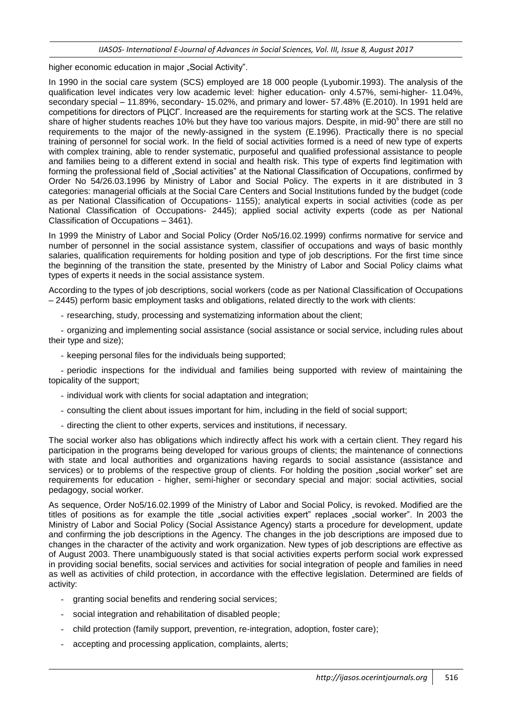higher economic education in major "Social Activity".

In 1990 in the social care system (SCS) employed are 18 000 people (Lyubomir.1993). The analysis of the qualification level indicates very low academic level: higher education- only 4.57%, semi-higher- 11.04%, secondary special – 11.89%, secondary- 15.02%, and primary and lower- 57.48% (E.2010). In 1991 held are competitions for directors of РЦСГ. Increased are the requirements for starting work at the SCS. The relative share of higher students reaches 10% but they have too various majors. Despite, in mid-90<sup>s</sup> there are still no requirements to the major of the newly-assigned in the system (E.1996). Practically there is no special training of personnel for social work. In the field of social activities formed is a need of new type of experts with complex training, able to render systematic, purposeful and qualified professional assistance to people and families being to a different extend in social and health risk. This type of experts find legitimation with forming the professional field of "Social activities" at the National Classification of Occupations, confirmed by Order No 54/26.03.1996 by Ministry of Labor and Social Policy. The experts in it are distributed in 3 categories: managerial officials at the Social Care Centers and Social Institutions funded by the budget (code as per National Classification of Occupations- 1155); analytical experts in social activities (code as per National Classification of Occupations- 2445); applied social activity experts (code as per National Classification of Occupations – 3461).

In 1999 the Ministry of Labor and Social Policy (Order No5/16.02.1999) confirms normative for service and number of personnel in the social assistance system, classifier of occupations and ways of basic monthly salaries, qualification requirements for holding position and type of job descriptions. For the first time since the beginning of the transition the state, presented by the Ministry of Labor and Social Policy claims what types of experts it needs in the social assistance system.

According to the types of job descriptions, social workers (code as per National Classification of Occupations – 2445) perform basic employment tasks and obligations, related directly to the work with clients:

- researching, study, processing and systematizing information about the client;

- organizing and implementing social assistance (social assistance or social service, including rules about their type and size);

- keeping personal files for the individuals being supported;

- periodic inspections for the individual and families being supported with review of maintaining the topicality of the support;

- individual work with clients for social adaptation and integration;
- consulting the client about issues important for him, including in the field of social support;
- directing the client to other experts, services and institutions, if necessary.

The social worker also has obligations which indirectly affect his work with a certain client. They regard his participation in the programs being developed for various groups of clients; the maintenance of connections with state and local authorities and organizations having regards to social assistance (assistance and services) or to problems of the respective group of clients. For holding the position "social worker" set are requirements for education - higher, semi-higher or secondary special and major: social activities, social pedagogy, social worker.

As sequence, Order No5/16.02.1999 of the Ministry of Labor and Social Policy, is revoked. Modified are the titles of positions as for example the title "social activities expert" replaces "social worker". In 2003 the Ministry of Labor and Social Policy (Social Assistance Agency) starts a procedure for development, update and confirming the job descriptions in the Agency. The changes in the job descriptions are imposed due to changes in the character of the activity and work organization. New types of job descriptions are effective as of August 2003. There unambiguously stated is that social activities experts perform social work expressed in providing social benefits, social services and activities for social integration of people and families in need as well as activities of child protection, in accordance with the effective legislation. Determined are fields of activity:

- granting social benefits and rendering social services;
- social integration and rehabilitation of disabled people;
- child protection (family support, prevention, re-integration, adoption, foster care);
- accepting and processing application, complaints, alerts;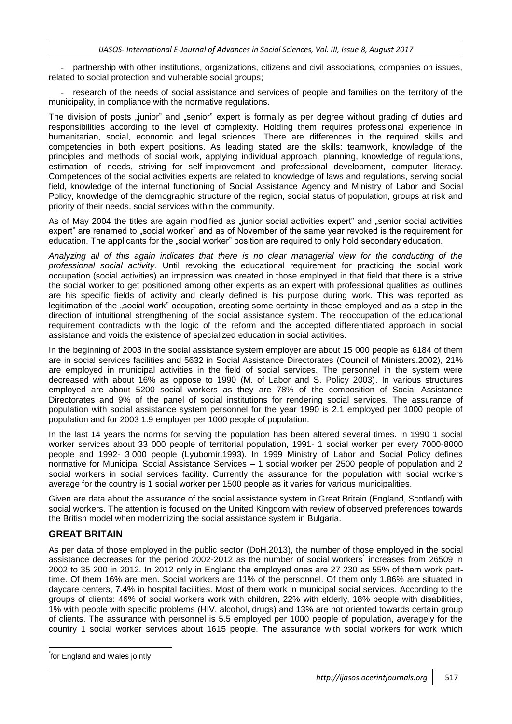partnership with other institutions, organizations, citizens and civil associations, companies on issues, related to social protection and vulnerable social groups;

research of the needs of social assistance and services of people and families on the territory of the municipality, in compliance with the normative regulations.

The division of posts "junior" and "senior" expert is formally as per degree without grading of duties and responsibilities according to the level of complexity. Holding them requires professional experience in humanitarian, social, economic and legal sciences. There are differences in the required skills and competencies in both expert positions. As leading stated are the skills: teamwork, knowledge of the principles and methods of social work, applying individual approach, planning, knowledge of regulations, estimation of needs, striving for self-improvement and professional development, computer literacy. Competences of the social activities experts are related to knowledge of laws and regulations, serving social field, knowledge of the internal functioning of Social Assistance Agency and Ministry of Labor and Social Policy, knowledge of the demographic structure of the region, social status of population, groups at risk and priority of their needs, social services within the community.

As of May 2004 the titles are again modified as "junior social activities expert" and "senior social activities expert" are renamed to "social worker" and as of November of the same year revoked is the requirement for education. The applicants for the "social worker" position are required to only hold secondary education.

*Analyzing all of this again indicates that there is no clear managerial view for the conducting of the professional social activity.* Until revoking the educational requirement for practicing the social work occupation (social activities) an impression was created in those employed in that field that there is a strive the social worker to get positioned among other experts as an expert with professional qualities as outlines are his specific fields of activity and clearly defined is his purpose during work. This was reported as legitimation of the "social work" occupation, creating some certainty in those employed and as a step in the direction of intuitional strengthening of the social assistance system. The reoccupation of the educational requirement contradicts with the logic of the reform and the accepted differentiated approach in social assistance and voids the existence of specialized education in social activities.

In the beginning of 2003 in the social assistance system employer are about 15 000 people as 6184 of them are in social services facilities and 5632 in Social Assistance Directorates (Council of Ministers.2002), 21% are employed in municipal activities in the field of social services. The personnel in the system were decreased with about 16% as oppose to 1990 (M. of Labor and S. Policy 2003). In various structures employed are about 5200 social workers as they are 78% of the composition of Social Assistance Directorates and 9% of the panel of social institutions for rendering social services. The assurance of population with social assistance system personnel for the year 1990 is 2.1 employed per 1000 people of population and for 2003 1.9 employer per 1000 people of population.

In the last 14 years the norms for serving the population has been altered several times. In 1990 1 social worker services about 33 000 people of territorial population, 1991- 1 social worker per every 7000-8000 people and 1992- 3 000 people (Lyubomir.1993). In 1999 Ministry of Labor and Social Policy defines normative for Municipal Social Assistance Services – 1 social worker per 2500 people of population and 2 social workers in social services facility. Currently the assurance for the population with social workers average for the country is 1 social worker per 1500 people as it varies for various municipalities.

Given are data about the assurance of the social assistance system in Great Britain (England, Scotland) with social workers. The attention is focused on the United Kingdom with review of observed preferences towards the British model when modernizing the social assistance system in Bulgaria.

#### **GREAT BRITAIN**

As per data of those employed in the public sector (DoH.2013), the number of those employed in the social assistance decreases for the period 2002-2012 as the number of social workers increases from 26509 in 2002 to 35 200 in 2012. In 2012 only in England the employed ones are 27 230 as 55% of them work parttime. Of them 16% are men. Social workers are 11% of the personnel. Of them only 1.86% are situated in daycare centers, 7.4% in hospital facilities. Most of them work in municipal social services. According to the groups of clients: 46% of social workers work with children, 22% with elderly, 18% people with disabilities, 1% with people with specific problems (HIV, alcohol, drugs) and 13% are not oriented towards certain group of clients. The assurance with personnel is 5.5 employed per 1000 people of population, averagely for the country 1 social worker services about 1615 people. The assurance with social workers for work which

-

<sup>\*</sup> for England and Wales jointly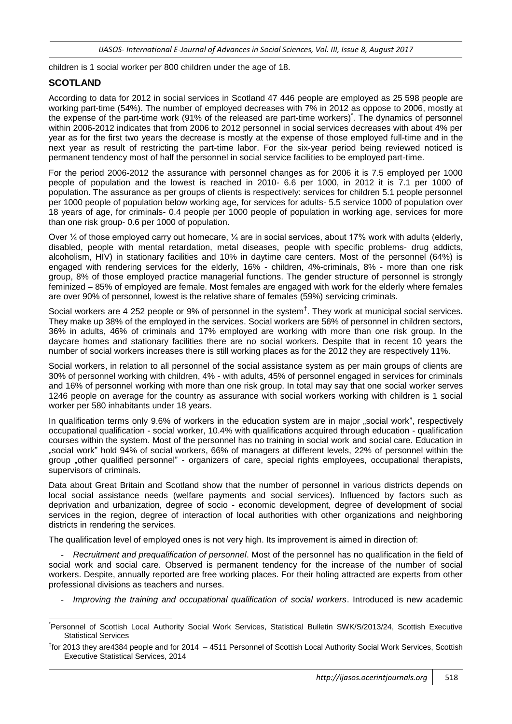children is 1 social worker per 800 children under the age of 18.

#### **SCOTLAND**

-

According to data for 2012 in social services in Scotland 47 446 people are employed as 25 598 people are working part-time (54%). The number of employed decreases with 7% in 2012 as oppose to 2006, mostly at the expense of the part-time work (91% of the released are part-time workers). The dynamics of personnel within 2006-2012 indicates that from 2006 to 2012 personnel in social services decreases with about 4% per year as for the first two years the decrease is mostly at the expense of those employed full-time and in the next year as result of restricting the part-time labor. For the six-year period being reviewed noticed is permanent tendency most of half the personnel in social service facilities to be employed part-time.

For the period 2006-2012 the assurance with personnel changes as for 2006 it is 7.5 employed per 1000 people of population and the lowest is reached in 2010- 6.6 per 1000, in 2012 it is 7.1 per 1000 of population. The assurance as per groups of clients is respectively: services for children 5.1 people personnel per 1000 people of population below working age, for services for adults- 5.5 service 1000 of population over 18 years of age, for criminals- 0.4 people per 1000 people of population in working age, services for more than one risk group- 0.6 per 1000 of population.

Over ¼ of those employed carry out homecare, ¼ are in social services, about 17% work with adults (elderly, disabled, people with mental retardation, metal diseases, people with specific problems- drug addicts, alcoholism, HIV) in stationary facilities and 10% in daytime care centers. Most of the personnel (64%) is engaged with rendering services for the elderly, 16% - children, 4%-criminals, 8% - more than one risk group, 8% of those employed practice managerial functions. The gender structure of personnel is strongly feminized – 85% of employed are female. Most females are engaged with work for the elderly where females are over 90% of personnel, lowest is the relative share of females (59%) servicing criminals.

Social workers are 4 252 people or 9% of personnel in the system<sup>†</sup>. They work at municipal social services. They make up 38% of the employed in the services. Social workers are 56% of personnel in children sectors, 36% in adults, 46% of criminals and 17% employed are working with more than one risk group. In the daycare homes and stationary facilities there are no social workers. Despite that in recent 10 years the number of social workers increases there is still working places as for the 2012 they are respectively 11%.

Social workers, in relation to all personnel of the social assistance system as per main groups of clients are 30% of personnel working with children, 4% - with adults, 45% of personnel engaged in services for criminals and 16% of personnel working with more than one risk group. In total may say that one social worker serves 1246 people on average for the country as assurance with social workers working with children is 1 social worker per 580 inhabitants under 18 years.

In qualification terms only 9.6% of workers in the education system are in major "social work", respectively occupational qualification - social worker, 10.4% with qualifications acquired through education - qualification courses within the system. Most of the personnel has no training in social work and social care. Education in "social work" hold 94% of social workers, 66% of managers at different levels, 22% of personnel within the group "other qualified personnel" - organizers of care, special rights employees, occupational therapists, supervisors of criminals.

Data about Great Britain and Scotland show that the number of personnel in various districts depends on local social assistance needs (welfare payments and social services). Influenced by factors such as deprivation and urbanization, degree of socio - economic development, degree of development of social services in the region, degree of interaction of local authorities with other organizations and neighboring districts in rendering the services.

The qualification level of employed ones is not very high. Its improvement is aimed in direction of:

- *Recruitment and prequalification of personnel*. Most of the personnel has no qualification in the field of social work and social care. Observed is permanent tendency for the increase of the number of social workers. Despite, annually reported are free working places. For their holing attracted are experts from other professional divisions as teachers and nurses.

- *Improving the training and occupational qualification of social workers*. Introduced is new academic

<sup>\*</sup> Personnel of Scottish Local Authority Social Work Services, Statistical Bulletin SWK/S/2013/24, Scottish Executive Statistical Services

<sup>&</sup>lt;sup>†</sup>for 2013 they are4384 people and for 2014 – 4511 Personnel of Scottish Local Authority Social Work Services, Scottish Executive Statistical Services, 2014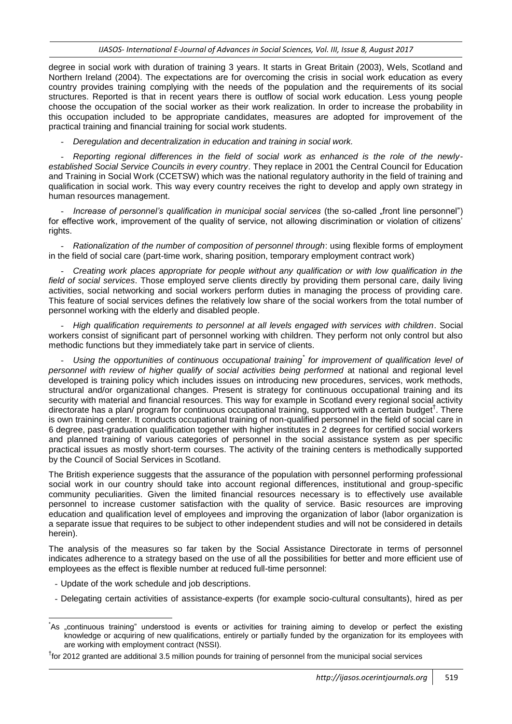degree in social work with duration of training 3 years. It starts in Great Britain (2003), Wels, Scotland and Northern Ireland (2004). The expectations are for overcoming the crisis in social work education as every country provides training complying with the needs of the population and the requirements of its social structures. Reported is that in recent years there is outflow of social work education. Less young people choose the occupation of the social worker as their work realization. In order to increase the probability in this occupation included to be appropriate candidates, measures are adopted for improvement of the practical training and financial training for social work students.

- *Deregulation and decentralization in education and training in social work.* 

- *Reporting regional differences in the field of social work as enhanced is the role of the newlyestablished Social Service Councils in every country*. They replace in 2001 the Central Council for Education and Training in Social Work (CCETSW) which was the national regulatory authority in the field of training and qualification in social work. This way every country receives the right to develop and apply own strategy in human resources management.

*Increase of personnel's qualification in municipal social services* (the so-called "front line personnel") for effective work, improvement of the quality of service, not allowing discrimination or violation of citizens' rights.

- *Rationalization of the number of composition of personnel through*: using flexible forms of employment in the field of social care (part-time work, sharing position, temporary employment contract work)

- *Creating work places appropriate for people without any qualification or with low qualification in the field of social services*. Those employed serve clients directly by providing them personal care, daily living activities, social networking and social workers perform duties in managing the process of providing care. This feature of social services defines the relatively low share of the social workers from the total number of personnel working with the elderly and disabled people.

- *High qualification requirements to personnel at all levels engaged with services with children*. Social workers consist of significant part of personnel working with children. They perform not only control but also methodic functions but they immediately take part in service of clients.

- *Using the opportunities of continuous occupational training\* for improvement of qualification level of personnel with review of higher qualify of social activities being performed* at national and regional level developed is training policy which includes issues on introducing new procedures, services, work methods, structural and/or organizational changes. Present is strategy for continuous occupational training and its security with material and financial resources. This way for example in Scotland every regional social activity directorate has a plan/ program for continuous occupational training, supported with a certain budget<sup>†</sup>. There is own training center. It conducts occupational training of non-qualified personnel in the field of social care in 6 degree, past-graduation qualification together with higher institutes in 2 degrees for certified social workers and planned training of various categories of personnel in the social assistance system as per specific practical issues as mostly short-term courses. The activity of the training centers is methodically supported by the Council of Social Services in Scotland.

The British experience suggests that the assurance of the population with personnel performing professional social work in our country should take into account regional differences, institutional and group-specific community peculiarities. Given the limited financial resources necessary is to effectively use available personnel to increase customer satisfaction with the quality of service. Basic resources are improving education and qualification level of employees and improving the organization of labor (labor organization is a separate issue that requires to be subject to other independent studies and will not be considered in details herein).

The analysis of the measures so far taken by the Social Assistance Directorate in terms of personnel indicates adherence to a strategy based on the use of all the possibilities for better and more efficient use of employees as the effect is flexible number at reduced full-time personnel:

- Update of the work schedule and job descriptions.

-

- Delegating certain activities of assistance-experts (for example socio-cultural consultants), hired as per

As "continuous training" understood is events or activities for training aiming to develop or perfect the existing knowledge or acquiring of new qualifications, entirely or partially funded by the organization for its employees with are working with employment contract (NSSI).

<sup>&</sup>lt;sup>†</sup>for 2012 granted are additional 3.5 million pounds for training of personnel from the municipal social services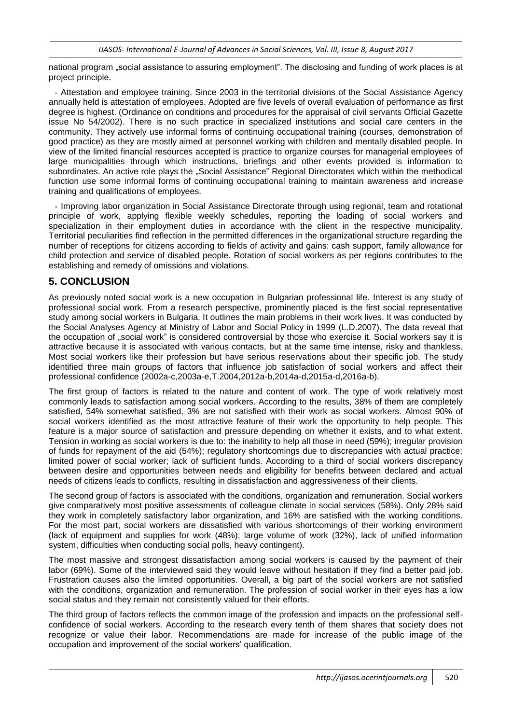national program "social assistance to assuring employment". The disclosing and funding of work places is at project principle.

- Attestation and employee training. Since 2003 in the territorial divisions of the Social Assistance Agency annually held is attestation of employees. Adopted are five levels of overall evaluation of performance as first degree is highest. (Ordinance on conditions and procedures for the appraisal of civil servants Official Gazette issue No 54/2002). There is no such practice in specialized institutions and social care centers in the community. They actively use informal forms of continuing occupational training (courses, demonstration of good practice) as they are mostly aimed at personnel working with children and mentally disabled people. In view of the limited financial resources accepted is practice to organize courses for managerial employees of large municipalities through which instructions, briefings and other events provided is information to subordinates. An active role plays the "Social Assistance" Regional Directorates which within the methodical function use some informal forms of continuing occupational training to maintain awareness and increase training and qualifications of employees.

- Improving labor organization in Social Assistance Directorate through using regional, team and rotational principle of work, applying flexible weekly schedules, reporting the loading of social workers and specialization in their employment duties in accordance with the client in the respective municipality. Territorial peculiarities find reflection in the permitted differences in the organizational structure regarding the number of receptions for citizens according to fields of activity and gains: cash support, family allowance for child protection and service of disabled people. Rotation of social workers as per regions contributes to the establishing and remedy of omissions and violations.

# **5. CONCLUSION**

As previously noted social work is a new occupation in Bulgarian professional life. Interest is any study of professional social work. From a research perspective, prominently placed is the first social representative study among social workers in Bulgaria. It outlines the main problems in their work lives. It was conducted by the Social Analyses Agency at Ministry of Labor and Social Policy in 1999 (L.D.2007). The data reveal that the occupation of "social work" is considered controversial by those who exercise it. Social workers say it is attractive because it is associated with various contacts, but at the same time intense, risky and thankless. Most social workers like their profession but have serious reservations about their specific job. The study identified three main groups of factors that influence job satisfaction of social workers and affect their professional confidence (2002a-c,2003a-e,T.2004,2012a-b,2014a-d,2015a-d,2016a-b).

The first group of factors is related to the nature and content of work. The type of work relatively most commonly leads to satisfaction among social workers. According to the results, 38% of them are completely satisfied, 54% somewhat satisfied, 3% are not satisfied with their work as social workers. Almost 90% of social workers identified as the most attractive feature of their work the opportunity to help people. This feature is a major source of satisfaction and pressure depending on whether it exists, and to what extent. Tension in working as social workers is due to: the inability to help all those in need (59%); irregular provision of funds for repayment of the aid (54%); regulatory shortcomings due to discrepancies with actual practice; limited power of social worker; lack of sufficient funds. According to a third of social workers discrepancy between desire and opportunities between needs and eligibility for benefits between declared and actual needs of citizens leads to conflicts, resulting in dissatisfaction and aggressiveness of their clients.

The second group of factors is associated with the conditions, organization and remuneration. Social workers give comparatively most positive assessments of colleague climate in social services (58%). Only 28% said they work in completely satisfactory labor organization, and 16% are satisfied with the working conditions. For the most part, social workers are dissatisfied with various shortcomings of their working environment (lack of equipment and supplies for work (48%); large volume of work (32%), lack of unified information system, difficulties when conducting social polls, heavy contingent).

The most massive and strongest dissatisfaction among social workers is caused by the payment of their labor (69%). Some of the interviewed said they would leave without hesitation if they find a better paid job. Frustration causes also the limited opportunities. Overall, a big part of the social workers are not satisfied with the conditions, organization and remuneration. The profession of social worker in their eyes has a low social status and they remain not consistently valued for their efforts.

The third group of factors reflects the common image of the profession and impacts on the professional selfconfidence of social workers. According to the research every tenth of them shares that society does not recognize or value their labor. Recommendations are made for increase of the public image of the occupation and improvement of the social workers' qualification.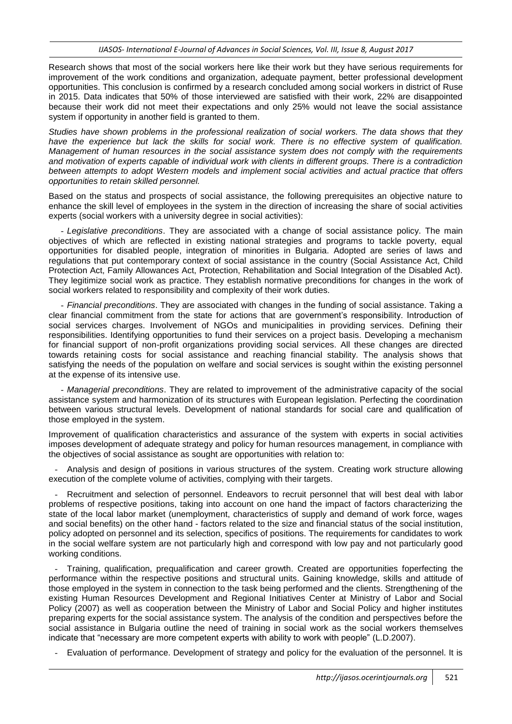Research shows that most of the social workers here like their work but they have serious requirements for improvement of the work conditions and organization, adequate payment, better professional development opportunities. This conclusion is confirmed by a research concluded among social workers in district of Ruse in 2015. Data indicates that 50% of those interviewed are satisfied with their work, 22% are disappointed because their work did not meet their expectations and only 25% would not leave the social assistance system if opportunity in another field is granted to them.

*Studies have shown problems in the professional realization of social workers. The data shows that they have the experience but lack the skills for social work. There is no effective system of qualification. Management of human resources in the social assistance system does not comply with the requirements and motivation of experts capable of individual work with clients in different groups. There is a contradiction between attempts to adopt Western models and implement social activities and actual practice that offers opportunities to retain skilled personnel.*

Based on the status and prospects of social assistance, the following prerequisites an objective nature to enhance the skill level of employees in the system in the direction of increasing the share of social activities experts (social workers with a university degree in social activities):

- *Legislative preconditions*. They are associated with a change of social assistance policy. The main objectives of which are reflected in existing national strategies and programs to tackle poverty, equal opportunities for disabled people, integration of minorities in Bulgaria. Adopted are series of laws and regulations that put contemporary context of social assistance in the country (Social Assistance Act, Child Protection Act, Family Allowances Act, Protection, Rehabilitation and Social Integration of the Disabled Act). They legitimize social work as practice. They establish normative preconditions for changes in the work of social workers related to responsibility and complexity of their work duties.

- *Financial preconditions*. They are associated with changes in the funding of social assistance. Taking a clear financial commitment from the state for actions that are government's responsibility. Introduction of social services charges. Involvement of NGOs and municipalities in providing services. Defining their responsibilities. Identifying opportunities to fund their services on a project basis. Developing a mechanism for financial support of non-profit organizations providing social services. All these changes are directed towards retaining costs for social assistance and reaching financial stability. The analysis shows that satisfying the needs of the population on welfare and social services is sought within the existing personnel at the expense of its intensive use.

- *Managerial preconditions*. They are related to improvement of the administrative capacity of the social assistance system and harmonization of its structures with European legislation. Perfecting the coordination between various structural levels. Development of national standards for social care and qualification of those employed in the system.

Improvement of qualification characteristics and assurance of the system with experts in social activities imposes development of adequate strategy and policy for human resources management, in compliance with the objectives of social assistance as sought are opportunities with relation to:

- Analysis and design of positions in various structures of the system. Creating work structure allowing execution of the complete volume of activities, complying with their targets.

Recruitment and selection of personnel. Endeavors to recruit personnel that will best deal with labor problems of respective positions, taking into account on one hand the impact of factors characterizing the state of the local labor market (unemployment, characteristics of supply and demand of work force, wages and social benefits) on the other hand - factors related to the size and financial status of the social institution, policy adopted on personnel and its selection, specifics of positions. The requirements for candidates to work in the social welfare system are not particularly high and correspond with low pay and not particularly good working conditions.

- Training, qualification, prequalification and career growth. Created are opportunities foperfecting the performance within the respective positions and structural units. Gaining knowledge, skills and attitude of those employed in the system in connection to the task being performed and the clients. Strengthening of the existing Human Resources Development and Regional Initiatives Center at Ministry of Labor and Social Policy (2007) as well as cooperation between the Ministry of Labor and Social Policy and higher institutes preparing experts for the social assistance system. The analysis of the condition and perspectives before the social assistance in Bulgaria outline the need of training in social work as the social workers themselves indicate that "necessary are more competent experts with ability to work with people" (L.D.2007).

Evaluation of performance. Development of strategy and policy for the evaluation of the personnel. It is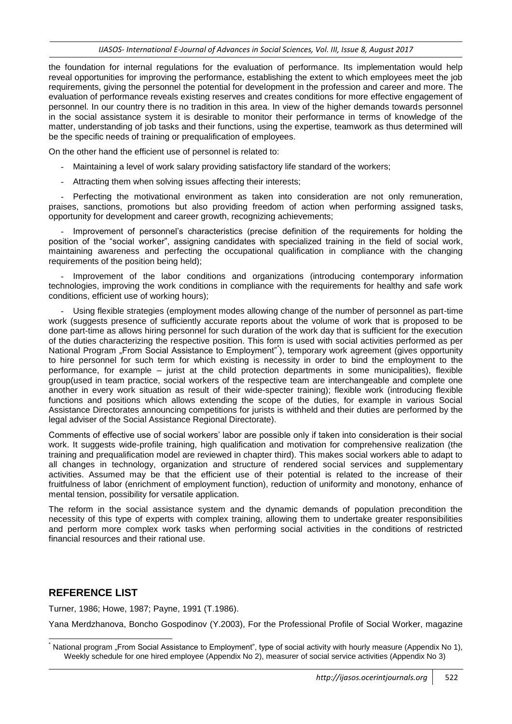the foundation for internal regulations for the evaluation of performance. Its implementation would help reveal opportunities for improving the performance, establishing the extent to which employees meet the job requirements, giving the personnel the potential for development in the profession and career and more. The evaluation of performance reveals existing reserves and creates conditions for more effective engagement of personnel. In our country there is no tradition in this area. In view of the higher demands towards personnel in the social assistance system it is desirable to monitor their performance in terms of knowledge of the matter, understanding of job tasks and their functions, using the expertise, teamwork as thus determined will be the specific needs of training or prequalification of employees.

On the other hand the efficient use of personnel is related to:

- Maintaining a level of work salary providing satisfactory life standard of the workers;
- Attracting them when solving issues affecting their interests;

Perfecting the motivational environment as taken into consideration are not only remuneration, praises, sanctions, promotions but also providing freedom of action when performing assigned tasks, opportunity for development and career growth, recognizing achievements;

Improvement of personnel's characteristics (precise definition of the requirements for holding the position of the "social worker", assigning candidates with specialized training in the field of social work, maintaining awareness and perfecting the occupational qualification in compliance with the changing requirements of the position being held);

- Improvement of the labor conditions and organizations (introducing contemporary information technologies, improving the work conditions in compliance with the requirements for healthy and safe work conditions, efficient use of working hours);

Using flexible strategies (employment modes allowing change of the number of personnel as part-time work (suggests presence of sufficiently accurate reports about the volume of work that is proposed to be done part-time as allows hiring personnel for such duration of the work day that is sufficient for the execution of the duties characterizing the respective position. This form is used with social activities performed as per National Program "From Social Assistance to Employment"), temporary work agreement (gives opportunity to hire personnel for such term for which existing is necessity in order to bind the employment to the performance, for example – jurist at the child protection departments in some municipalities), flexible group(used in team practice, social workers of the respective team are interchangeable and complete one another in every work situation as result of their wide-specter training); flexible work (introducing flexible functions and positions which allows extending the scope of the duties, for example in various Social Assistance Directorates announcing competitions for jurists is withheld and their duties are performed by the legal adviser of the Social Assistance Regional Directorate).

Comments of effective use of social workers' labor are possible only if taken into consideration is their social work. It suggests wide-profile training, high qualification and motivation for comprehensive realization (the training and prequalification model are reviewed in chapter third). This makes social workers able to adapt to all changes in technology, organization and structure of rendered social services and supplementary activities. Assumed may be that the efficient use of their potential is related to the increase of their fruitfulness of labor (enrichment of employment function), reduction of uniformity and monotony, enhance of mental tension, possibility for versatile application.

The reform in the social assistance system and the dynamic demands of population precondition the necessity of this type of experts with complex training, allowing them to undertake greater responsibilities and perform more complex work tasks when performing social activities in the conditions of restricted financial resources and their rational use.

### **REFERENCE LIST**

1

Turner, 1986; Howe, 1987; Payne, 1991 (T.1986).

Yana Merdzhanova, Boncho Gospodinov (Y.2003), For the Professional Profile of Social Worker, magazine

National program "From Social Assistance to Employment", type of social activity with hourly measure (Appendix No 1), Weekly schedule for one hired employee (Appendix No 2), measurer of social service activities (Appendix No 3)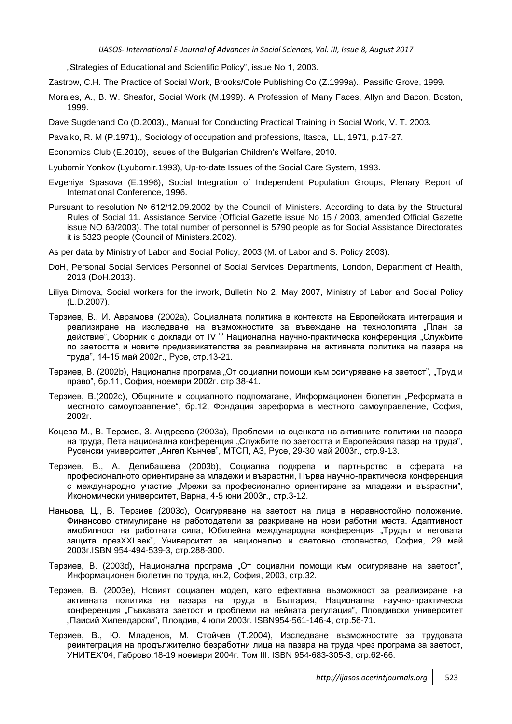"Strategies of Educational and Scientific Policy", issue No 1, 2003.

Zastrow, C.H. The Practice of Social Work, Brooks/Cole Publishing Co (Z.1999a)., Passific Grove, 1999.

- Morales, A., B. W. Sheafor, Social Work (M.1999). A Profession of Many Faces, Allyn and Bacon, Boston, 1999.
- Dave Sugdenand Co (D.2003)., Manual for Conducting Practical Training in Social Work, V. T. 2003.
- Pavalko, R. M (P.1971)., Sociology of occupation and professions, Itasca, ILL, 1971, p.17-27.
- Economics Club (E.2010), Issues of the Bulgarian Children's Welfare, 2010.
- Lyubomir Yonkov (Lyubomir.1993), Up-to-date Issues of the Social Care System, 1993.
- Evgeniya Spasova (E.1996), Social Integration of Independent Population Groups, Plenary Report of International Conference, 1996.
- Pursuant to resolution № 612/12.09.2002 by the Council of Ministers. According to data by the Structural Rules of Social 11. Assistance Service (Official Gazette issue No 15 / 2003, amended Official Gazette issue NO 63/2003). The total number of personnel is 5790 people as for Social Assistance Directorates it is 5323 people (Council of Ministers.2002).

As per data by Ministry of Labor and Social Policy, 2003 (M. of Labor and S. Policy 2003).

- DoH, Personal Social Services Personnel of Social Services Departments, London, Department of Health, 2013 (DoH.2013).
- Liliya Dimova, Social workers for the irwork, Bulletin No 2, May 2007, Ministry of Labor and Social Policy (L.D.2007).
- Терзиев, В., И. Аврамова (2002a), Социалната политика в контекста на Европейската интеграция и реализиране на изследване на възможностите за въвеждане на технологията "План за действие", Сборник с доклади от IV<sup>-та</sup> Национална научно-практическа конференция "Службите по заетостта и новите предизвикателства за реализиране на активната политика на пазара на труда", 14-15 май 2002г., Русе, стр.13-21.
- Терзиев, В. (2002b), Национална програма "От социални помощи към осигуряване на заетост", "Труд и право", бр.11, София, ноември 2002г. стр.38-41.
- Терзиев, В.(2002c), Общините и социалното подпомагане, Информационен бюлетин "Реформата в местното самоуправление", бр.12, Фондация зареформа в местното самоуправление, София, 2002г.
- Коцева М., В. Терзиев, З. Андреева (2003a), Проблеми на оценката на активните политики на пазара на труда, Пета национална конференция "Службите по заетостта и Европейския пазар на труда", Русенски университет "Ангел Кънчев", МТСП, АЗ, Русе, 29-30 май 2003г., стр.9-13.
- Терзиев, В., А. Делибашева (2003b), Социална подкрепа и партньрство в сферата на професионалното ориентиране за младежи и възрастни, Първа научно-практическа конференция с международно участие "Мрежи за професионално ориентиране за младежи и възрастни", Икономически университет, Варна, 4-5 юни 2003г., стр.3-12.
- Наньова, Ц., В. Терзиев (2003c), Осигуряване на заетост на лица в неравностойно положение. Финансово стимулиране на работодатели за разкриване на нови работни места. Адаптивност имобилност на работната сила, Юбилейна международна конференция "Трудът и неговата защита презXXI век", Университет за национално и световно стопанство, София, 29 май 2003г.ISBN 954-494-539-3, стр.288-300.
- Терзиев, В. (2003d), Национална програма "От социални помощи към осигуряване на заетост", Информационен бюлетин по труда, кн.2, София, 2003, стр.32.
- Терзиев, В. (2003e), Новият социален модел, като ефективна възможност за реализиране на активната политика на пазара на труда в България, Национална научно-практическа конференция "Гъвкавата заетост и проблеми на нейната регулация", Пловдивски университет "Паисий Хилендарски", Пловдив, 4 юли 2003г. ISBN954-561-146-4, стр.56-71.
- Терзиев, В., Ю. Младенов, М. Стойчев (T.2004), Изследване възможностите за трудовата реинтеграция на продължително безработни лица на пазара на труда чрез програма за заетост, УНИТЕХ'04, Габрово,18-19 ноември 2004г. Том III. ISBN 954-683-305-3, стр.62-66.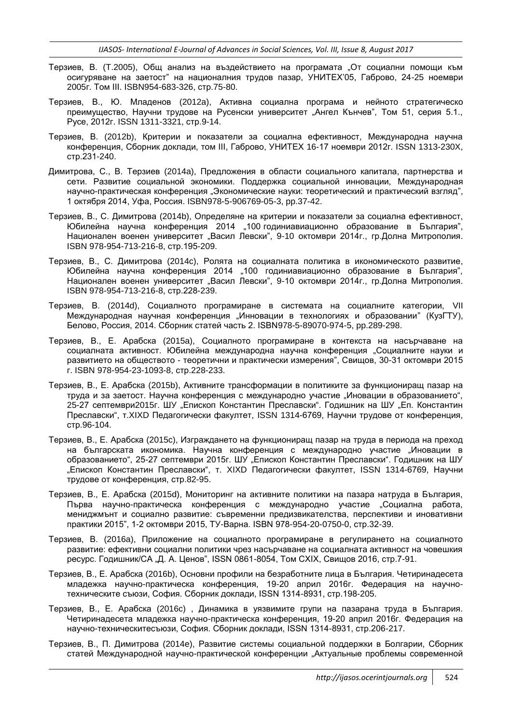- Терзиев, В. (T.2005), Общ анализ на въздействието на програмата "От социални помощи към осигуряване на заетост" на националния трудов пазар, УНИТЕХ'05, Габрово, 24-25 ноември 2005г. Том III. ISBN954-683-326, стр.75-80.
- Терзиев, В., Ю. Младенов (2012a), Активна социална програма и нейното стратегическо преимущество, Научни трудове на Русенски университет "Ангел Кънчев", Том 51, серия 5.1., Русе, 2012г. ISSN 1311-3321, стр.9-14.
- Терзиев, В. (2012b), Критерии и показатели за социална ефективност, Международна научна конференция, Сборник доклади, том III, Габрово, УНИТЕХ 16-17 ноември 2012г. ISSN 1313-230X, стр.231-240.
- Димитрова, С., В. Терзиев (2014a), Предложения в области социального капитала, партнерства и сети. Развитие социальной экономики. Поддержка социальной инновации, Международная научно-практическая конференция "Экономические науки: теоретический и практический взгляд", 1 октября 2014, Уфа, Россия. ISBN978-5-906769-05-3, pp.37-42.
- Терзиев, В., С. Димитрова (2014b), Определяне на критерии и показатели за социална ефективност, Юбилейна научна конференция 2014 "100 годиниавиационно образование в България", Национален военен университет "Васил Левски", 9-10 октомври 2014г., гр.Долна Митрополия. ISBN 978-954-713-216-8, стр.195-209.
- Терзиев, В., С. Димитрова (2014c), Ролята на социалната политика в икономическото развитие, Юбилейна научна конференция 2014 "100 годиниавиационно образование в България", Национален военен университет "Васил Левски", 9-10 октомври 2014г., гр.Долна Митрополия. ISBN 978-954-713-216-8, стр.228-239.
- Терзиев, В. (2014d), Социалното програмиране в системата на социалните категории, VII Международная научная конференция "Инновации в технологиях и образовании" (КузГТУ), Белово, Россия, 2014. Сборник статей часть 2. ISBN978-5-89070-974-5, pp.289-298.
- Терзиев, В., Е. Арабска (2015a), Социалното програмиране в контекста на насърчаване на социалната активност. Юбилейна международна научна конференция "Социалните науки и развитието на обществото - теоретични и практически измерения", Свищов, 30-31 октомври 2015 г. ISBN 978-954-23-1093-8, стр.228-233.
- Терзиев, В., Е. Арабска (2015b), Активните трансформации в политиките за функциониращ пазар на труда и за заетост. Научна конференция с международно участие "Иновации в образованието", 25-27 септември2015г. ШУ "Епископ Константин Преславски". Годишник на ШУ "Еп. Константин Преславски", т.XIXD Педагогически факултет, ISSN 1314-6769, Научни трудове от конференция, стр.96-104.
- Терзиев, В., Е. Арабска (2015c), Изграждането на функциониращ пазар на труда в периода на преход на българската икономика. Научна конференция с международно участие "Иновации в образованието", 25-27 септември 2015г. ШУ "Епископ Константин Преславски". Годишник на ШУ "Епископ Константин Преславски", т. XIXD Педагогически факултет, ISSN 1314-6769, Научни трудове от конференция, стр.82-95.
- Терзиев, В., Е. Арабска (2015d), Мониторинг на активните политики на пазара натруда в България, Първа научно-практическа конференция с международно участие "Социална работа, мениджмънт и социално развитие: съвременни предизвикателства, перспективи и иновативни практики 2015", 1-2 октомври 2015, ТУ-Варна. ISBN 978-954-20-0750-0, стр.32-39.
- Терзиев, В. (2016a), Приложение на социалното програмиране в регулирането на социалното развитие: ефективни социални политики чрез насърчаване на социалната активност на човешкия ресурс. Годишник/СА "Д. А. Ценов", ISSN 0861-8054, Том СХIХ, Свищов 2016, стр.7-91.
- Терзиев, В., Е. Арабска (2016b), Основни профили на безработните лица в България. Четиринадесета младежка научно-практическа конференция, 19-20 април 2016г. Федерация на научнотехническите съюзи, София. Сборник доклади, ISSN 1314-8931, стр.198-205.
- Терзиев, В., Е. Арабска (2016c) , Динамика в уязвимите групи на пазарана труда в България. Четиринадесета младежка научно-практическа конференция, 19-20 април 2016г. Федерация на научно-техническитесъюзи, София. Сборник доклади, ISSN 1314-8931, стр.206-217.
- Терзиев, В., П. Димитрова (2014e), Развитие системы социальной поддержки в Болгарии, Сборник статей Международной научно-практической конференции "Актуальные проблемы современной